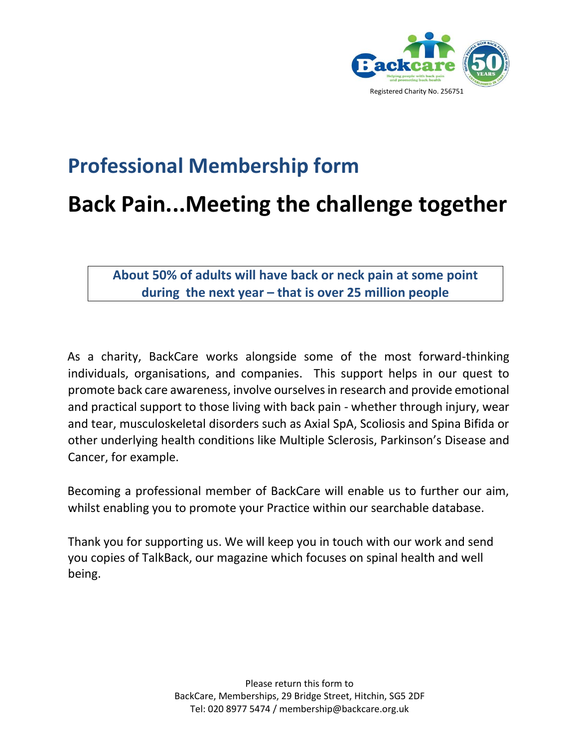

## **Professional Membership form**

## **Back Pain...Meeting the challenge together**

**About 50% of adults will have back or neck pain at some point during the next year – that is over 25 million people** 

As a charity, BackCare works alongside some of the most forward-thinking individuals, organisations, and companies. This support helps in our quest to promote back care awareness, involve ourselves in research and provide emotional and practical support to those living with back pain - whether through injury, wear and tear, musculoskeletal disorders such as Axial SpA, Scoliosis and Spina Bifida or other underlying health conditions like Multiple Sclerosis, Parkinson's Disease and Cancer, for example.

Becoming a professional member of BackCare will enable us to further our aim, whilst enabling you to promote your Practice within our searchable database.

Thank you for supporting us. We will keep you in touch with our work and send you copies of TalkBack, our magazine which focuses on spinal health and well being.

> Please return this form to BackCare, Memberships, 29 Bridge Street, Hitchin, SG5 2DF Tel: 020 8977 5474 / membership@backcare.org.uk